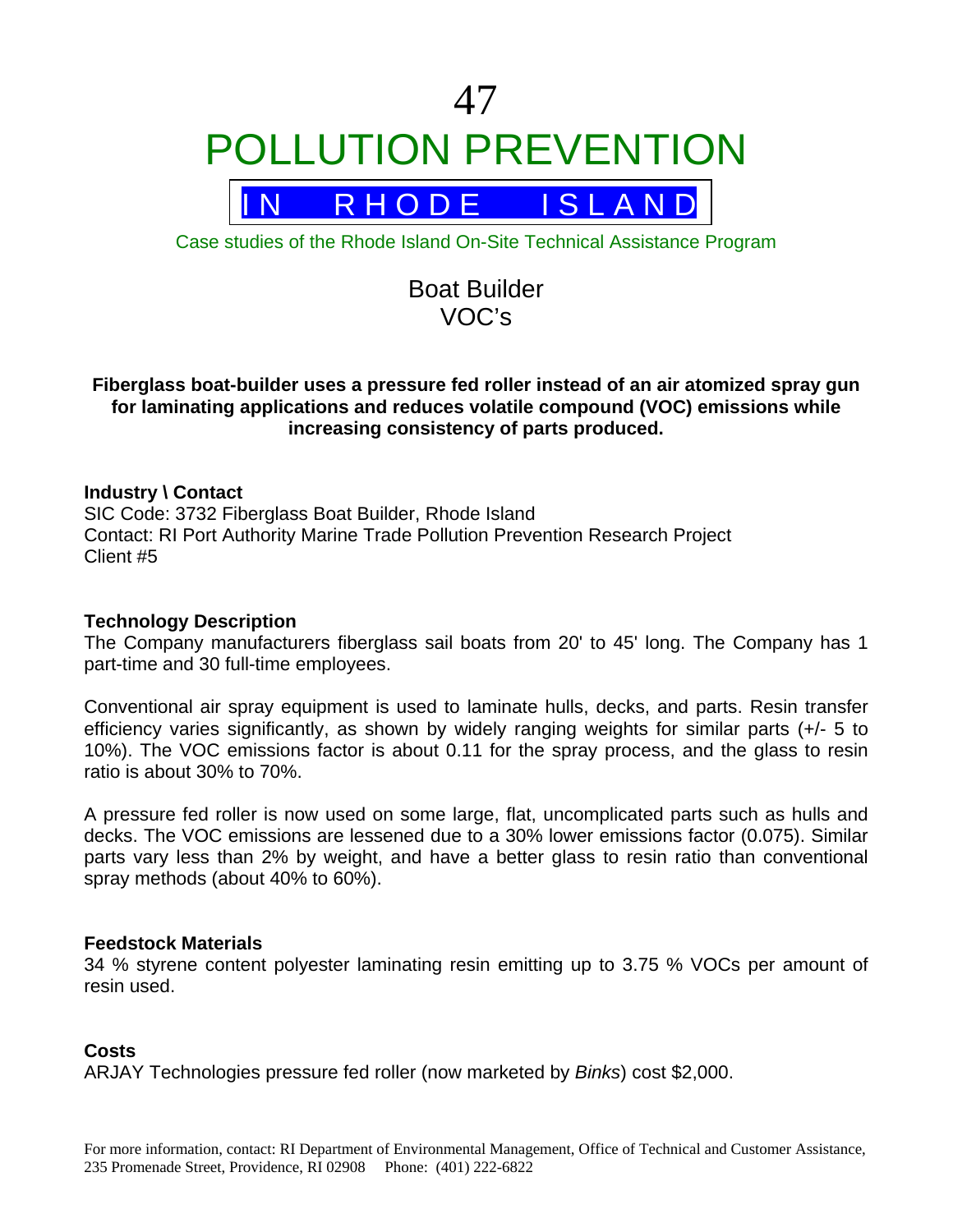

Case studies of the Rhode Island On-Site Technical Assistance Program

# Boat Builder VOC's

## **Fiberglass boat-builder uses a pressure fed roller instead of an air atomized spray gun for laminating applications and reduces volatile compound (VOC) emissions while increasing consistency of parts produced.**

## **Industry \ Contact**

SIC Code: 3732 Fiberglass Boat Builder, Rhode Island Contact: RI Port Authority Marine Trade Pollution Prevention Research Project Client #5

#### **Technology Description**

The Company manufacturers fiberglass sail boats from 20' to 45' long. The Company has 1 part-time and 30 full-time employees.

Conventional air spray equipment is used to laminate hulls, decks, and parts. Resin transfer efficiency varies significantly, as shown by widely ranging weights for similar parts (+/- 5 to 10%). The VOC emissions factor is about 0.11 for the spray process, and the glass to resin ratio is about 30% to 70%.

A pressure fed roller is now used on some large, flat, uncomplicated parts such as hulls and decks. The VOC emissions are lessened due to a 30% lower emissions factor (0.075). Similar parts vary less than 2% by weight, and have a better glass to resin ratio than conventional spray methods (about 40% to 60%).

#### **Feedstock Materials**

34 % styrene content polyester laminating resin emitting up to 3.75 % VOCs per amount of resin used.

#### **Costs**

ARJAY Technologies pressure fed roller (now marketed by *Binks*) cost \$2,000.